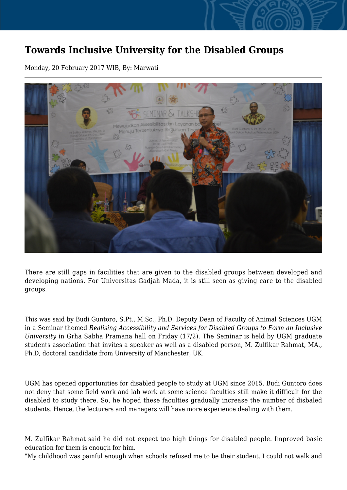## **Towards Inclusive University for the Disabled Groups**

Monday, 20 February 2017 WIB, By: Marwati



There are still gaps in facilities that are given to the disabled groups between developed and developing nations. For Universitas Gadjah Mada, it is still seen as giving care to the disabled groups.

This was said by Budi Guntoro, S.Pt., M.Sc., Ph.D, Deputy Dean of Faculty of Animal Sciences UGM in a Seminar themed *Realising Accessibility and Services for Disabled Groups to Form an Inclusive University* in Grha Sabha Pramana hall on Friday (17/2). The Seminar is held by UGM graduate students association that invites a speaker as well as a disabled person, M. Zulfikar Rahmat, MA., Ph.D, doctoral candidate from University of Manchester, UK.

UGM has opened opportunities for disabled people to study at UGM since 2015. Budi Guntoro does not deny that some field work and lab work at some science faculties still make it difficult for the disabled to study there. So, he hoped these faculties gradually increase the number of disbaled students. Hence, the lecturers and managers will have more experience dealing with them.

M. Zulfikar Rahmat said he did not expect too high things for disabled people. Improved basic education for them is enough for him.

"My childhood was painful enough when schools refused me to be their student. I could not walk and